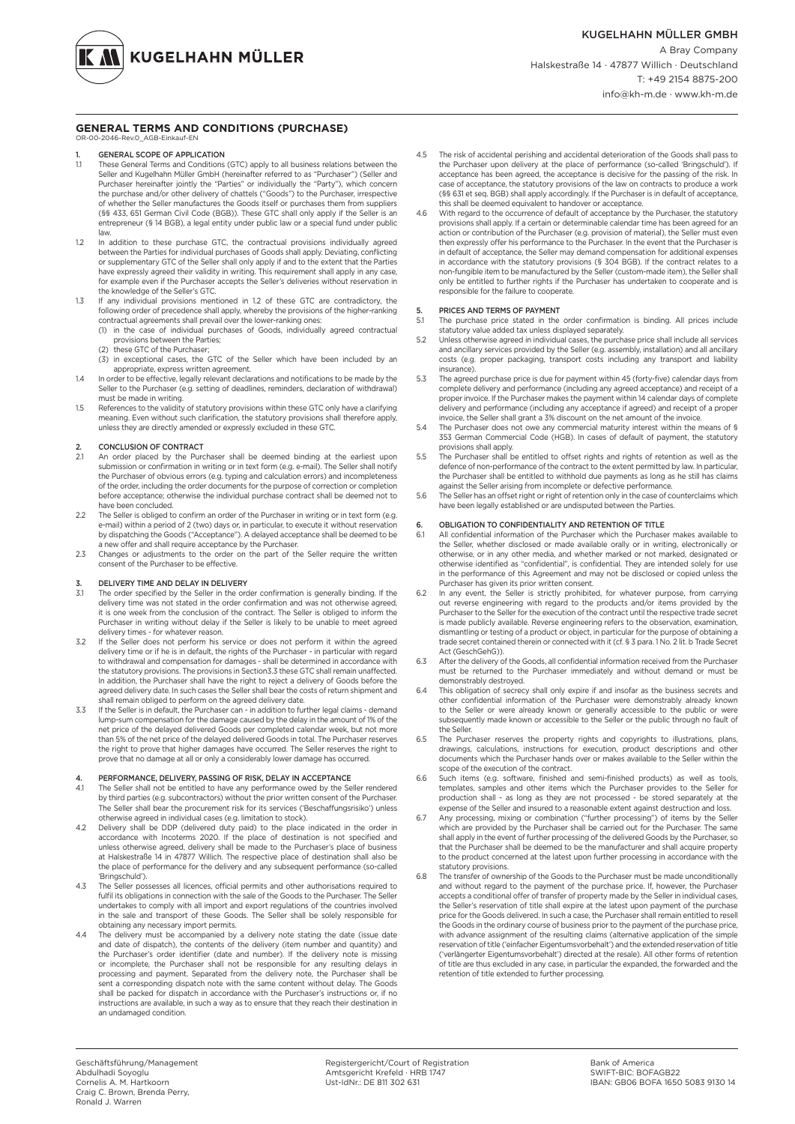**KUGELHAHN MÜLLER** 

#### **GENERAL TERMS AND CONDITIONS (PURCHASE)** OR-00-2046-Rev.0\_AGB-Einkauf-EN

- 1. **GENERAL SCOPE OF APPLICATION**<br>1.1 These General Terms and Conditions
- 1.1 These General Terms and Conditions (GTC) apply to all business relations between the Seller and Kugelhahn Müller GmbH (hereinafter referred to as "Purchaser") (Seller and Purchaser hereinafter jointly the "Parties" or individually the "Party"), which concern the purchase and/or other delivery of chattels ("Goods") to the Purchaser, irrespective of whether the Seller manufactures the Goods itself or purchases them from suppliers (§§ 433, 651 German Civil Code (BGB)). These GTC shall only apply if the Seller is an entrepreneur (§ 14 BGB), a legal entity under public law or a special fund under public
- law. 1.2 In addition to these purchase GTC, the contractual provisions individually agreed between the Parties for individual purchases of Goods shall apply. Deviating, conflicting or supplementary GTC of the Seller shall only apply if and to the extent that the Parties have expressly agreed their validity in writing. This requirement shall apply in any case for example even if the Purchaser accepts the Seller's deliveries without reservation in the knowledge of the Seller's GTC.
- 1.3 If any individual provisions mentioned in 1.2 of these GTC are contradictory, the following order of precedence shall apply, whereby the provisions of the higher-ranking contractual agreements shall prevail over the lower-ranking ones:
	- (1) in the case of individual purchases of Goods, individually agreed contractual
	- provisions between the Parties; (2) these GTC of the Purchaser;
	- (3) in exceptional cases, the GTC of the Seller which have been included by an
- appropriate, express written agreement.<br>1.4 In order to be effective, legally relevant declarations and notifications to be made by the Seller to the Purchaser (e.g. setting of deadlines, reminders, declaration of withdr must be made in writing.
- 1.5 References to the validity of statutory provisions within these GTC only have a clarifying meaning. Even without such clarification, the statutory provisions shall therefore apply, unless they are directly amended or expressly excluded in these GTC.

# 2. CONCLUSION OF CONTRACT<br>2.1 An order placed by the Pure

- 2.1 An order placed by the Purchaser shall be deemed binding at the earliest upon<br>submission or confirmation in writing or in text form (e.g. e-mail). The Seller shall notify<br>the Purchaser of obvious errors (e.g. typing an of the order, including the order documents for the purpose of correction or completion before acceptance; otherwise the individual purchase contract shall be deemed not to have been concluded.
- 2.2 The Seller is obliged to confirm an order of the Purchaser in writing or in text form (e.g. e-mail) within a period of 2 (two) days or, in particular, to execute it without reservation by dispatching the Goods ("Acceptance"). A delayed acceptance shall be deemed to be a new offer and shall require acceptance by the Purchaser.
- 2.3 Changes or adjustments to the order on the part of the Seller require the written consent of the Purchaser to be effective.

### DELIVERY TIME AND DELAY IN DELIVERY

- 3.1 The order specified by the Seller in the order confirmation is generally binding. If the delivery time was not stated in the order confirmation and was not otherwise agreed, it is one week from the conclusion of the contract. The Seller is obliged to inform the Purchaser in writing without delay if the Seller is likely to be unable to meet agreed delivery times - for whatever reason.
- 3.2 If the Seller does not perform his service or does not perform it within the agreed delivery time or if he is in default, the rights of the Purchaser in particular with regard to withdrawal and compensation for damages - shall be determined in accordance with the statutory provisions. The provisions in Section3.3 these GTC shall remain unaffected. In addition, the Purchaser shall have the right to reject a delivery of Goods before the agreed delivery date. In such cases the Seller shall bear the costs of return shipment and shall remain obliged to perform on the agreed delivery date.
- 3.3 If the Seller is in default, the Purchaser can in addition to further legal claims demand lump-sum compensation for the damage caused by the delay in the amount of 1% of the net price of the delayed delivered Goods per completed calendar week, but not more than 5% of the net price of the delayed delivered Goods in total. The Purchaser reserves the right to prove that higher damages have occurred. The Seller reserves the right to prove that no damage at all or only a considerably lower damage has occurred.

### PERFORMANCE, DELIVERY, PASSING OF RISK, DELAY IN ACCEPTANCE

- 4.1 The Seller shall not be entitled to have any performance owed by the Seller rendered by third parties (e.g. subcontractors) without the prior written consent of the Purchaser. The Seller shall bear the procurement risk for its services ('Beschaffungsrisiko') unless otherwise agreed in individual cases (e.g. limitation to stock).
- 4.2 Delivery shall be DDP (delivered duty paid) to the place indicated in the order in accordance with Incoterms 2020. If the place of destination is not specified and unless otherwise agreed, delivery shall be made to the Purchaser's place of business at Halskestraße 14 in 47877 Willich. The respective place of destination shall also be the place of performance for the delivery and any subsequent performance (so-called 'Bringschuld').
- 4.3 The Seller possesses all licences, official permits and other authorisations required to fulfil its obligations in connection with the sale of the Goods to the Purchaser. The Seller undertakes to comply with all import and export regulations of the countries involved in the sale and transport of these Goods. The Seller shall be solely responsible for obtaining any necessary import permits.
- 4.4 The delivery must be accompanied by a delivery note stating the date (issue date and date of dispatch), the contents of the delivery (item number and quantity) and the Purchaser's order identifier (date and number). If the delivery note is missing or incomplete, the Purchaser shall not be responsible for any resulting delays in processing and payment. Separated from the delivery note, the Purchaser shall be sent a corresponding dispatch note with the same content without delay. The Goods shall be packed for dispatch in accordance with the Purchaser's instructions or, if no instructions are available, in such a way as to ensure that they reach their destination in an undamaged condition.
- 4.5 The risk of accidental perishing and accidental deterioration of the Goods shall pass to the Purchaser upon delivery at the place of performance (so-called 'Bringschuld'). If acceptance has been agreed, the acceptance is decisive for the passing of the risk. In case of acceptance, the statutory provisions of the law on contracts to produce a work (§§ 631 et seq. BGB) shall apply accordingly. If the Purchaser is in default of acceptance, this shall be deemed equivalent to handover or acceptance.
- 4.6 Shah be desired equivalent to handover or deseptance. provisions shall apply. If a certain or determinable calendar time has been agreed for an action or contribution of the Purchaser (e.g. provision of material), the Seller must even then expressly offer his performance to the Purchaser. In the event that the Purchaser is in default of acceptance, the Seller may demand compensation for additional expenses in accordance with the statutory provisions (§ 304 BGB). If the contract relates to a non-fungible item to be manufactured by the Seller (custom-made item), the Seller shall only be entitled to further rights if the Purchaser has undertaken to cooperate and is responsible for the failure to cooperate.

## 5. PRICES AND TERMS OF PAYMENT<br>51 The purchase price stated in the

- The purchase price stated in the order confirmation is binding. All prices include statutory value added tax unless displayed separately.
- 5.2 Unless otherwise agreed in individual cases, the purchase price shall include all services and ancillary services provided by the Seller (e.g. assembly, installation) and all ancillary costs (e.g. proper packaging, transport costs including any transport and liability insurance).
- 5.3 The agreed purchase price is due for payment within 45 (forty-five) calendar days from complete delivery and performance (including any agreed acceptance) and receipt of a proper invoice. If the Purchaser makes the payment within 14 calendar days of complete delivery and performance (including any acceptance if agreed) and receipt of a proper
- invoice, the Seller shall grant a 3% discount on the net amount of the invoice. 5.4 The Purchaser does not owe any commercial maturity interest within the means of § 353 German Commercial Code (HGB). In cases of default of payment, the statutory provisions shall apply.
- 5.5 The Purchaser shall be entitled to offset rights and rights of retention as well as the defence of non-performance of the contract to the extent permitted by law. In particular,<br>the Purchaser shall be entitled to withhold due payments as long as he still has claims
- against the Seller arising from incomplete or defective performance. 5.6 The Seller has an offset right or right of retention only in the case of counterclaims which have been legally established or are undisputed between the Parties.

## 6. OBLIGATION TO CONFIDENTIALITY AND RETENTION OF TITLE<br>61 All confidential information of the Purchaser which the Purchase

- 6.1 All confidential information of the Purchaser which the Purchaser makes available to the Seller, whether disclosed or made available orally or in writing, electronically or otherwise, or in any other media, and whether marked or not marked, designated or otherwise identified as "confidential", is confidential. They are intended solely for use in the performance of this Agreement and may not be disclosed or copied unless the Purchaser has given its prior written consent.
- 6.2 In any event, the Seller is strictly prohibited, for whatever purpose, from carrying out reverse engineering with regard to the products and/or items provided by the Purchaser to the Seller for the execution of the contract until the respective trade secret is made publicly available. Reverse engineering refers to the observation, examination, dismantling or testing of a product or object, in particular for the purpose of obtaining a trade secret contained therein or connected with it (cf. § 3 para. 1 No. 2 lit. b Trade Secret Act (GeschGehG)).
- 6.3 After the delivery of the Goods, all confidential information received from the Purchaser must be returned to the Purchaser immediately and without demand or must be demonstrably destroyed.
- 6.4 This obligation of secrecy shall only expire if and insofar as the business secrets and other confidential information of the Purchaser were demonstrably already known to the Seller or were already known or generally accessible to the public or were subsequently made known or accessible to the Seller or the public through no fault of the Seller.
- 6.5 The Purchaser reserves the property rights and copyrights to illustrations, plans, drawings, calculations, instructions for execution, product descriptions and other documents which the Purchaser hands over or makes available to the Seller within the scope of the execution of the contract.
- 6.6 Such items (e.g. software, finished and semi-finished products) as well as tools, templates, samples and other items which the Purchaser provides to the Seller for production shall - as long as they are not processed - be stored separately at the
- expense of the Seller and insured to a reasonable extent against destruction and loss. 6.7 Any processing, mixing or combination ("further processing") of items by the Seller which are provided by the Purchaser shall be carried out for the Purchaser. The same shall apply in the event of further processing of the delivered Goods by the Purchaser, so that the Purchaser shall be deemed to be the manufacturer and shall acquire property to the product concerned at the latest upon further processing in accordance with the statutory provisions.
- 6.8 The transfer of ownership of the Goods to the Purchaser must be made unconditionally and without regard to the payment of the purchase price. If, however, the Purchaser accepts a conditional offer of transfer of property made by the Seller in individual cases, the Seller's reservation of title shall expire at the latest upon payment of the purchase price for the Goods delivered. In such a case, the Purchaser shall remain entitled to resell the Goods in the ordinary course of business prior to the payment of the purchase price, with advance assignment of the resulting claims (alternative application of the simple reservation of title ('einfacher Eigentumsvorbehalt') and the extended reservation of title ('verlängerter Eigentumsvorbehalt') directed at the resale). All other forms of retention of title are thus excluded in any case, in particular the expanded, the forwarded and the retention of title extended to further processing.